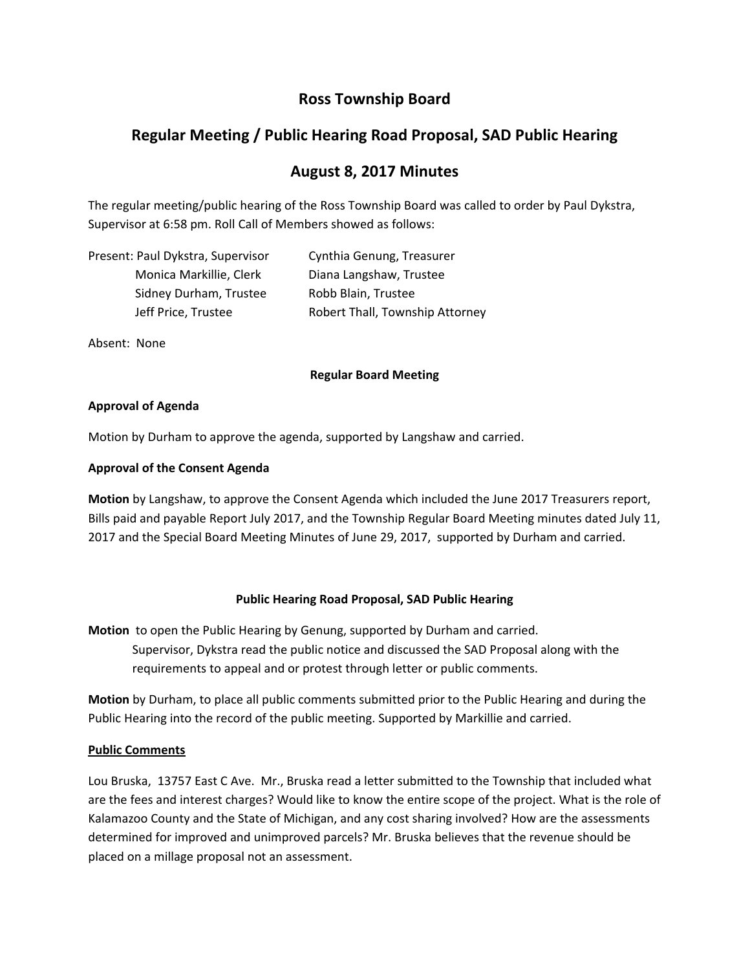# **Ross Township Board**

# **Regular Meeting / Public Hearing Road Proposal, SAD Public Hearing**

## **August 8, 2017 Minutes**

The regular meeting/public hearing of the Ross Township Board was called to order by Paul Dykstra, Supervisor at 6:58 pm. Roll Call of Members showed as follows:

| Present: Paul Dykstra, Supervisor | Cynthia Genung, Treasurer       |
|-----------------------------------|---------------------------------|
| Monica Markillie, Clerk           | Diana Langshaw, Trustee         |
| Sidney Durham, Trustee            | Robb Blain, Trustee             |
| Jeff Price, Trustee               | Robert Thall, Township Attorney |

Absent: None

#### **Regular Board Meeting**

#### **Approval of Agenda**

Motion by Durham to approve the agenda, supported by Langshaw and carried.

### **Approval of the Consent Agenda**

**Motion** by Langshaw, to approve the Consent Agenda which included the June 2017 Treasurers report, Bills paid and payable Report July 2017, and the Township Regular Board Meeting minutes dated July 11, 2017 and the Special Board Meeting Minutes of June 29, 2017, supported by Durham and carried.

### **Public Hearing Road Proposal, SAD Public Hearing**

**Motion** to open the Public Hearing by Genung, supported by Durham and carried. Supervisor, Dykstra read the public notice and discussed the SAD Proposal along with the requirements to appeal and or protest through letter or public comments.

**Motion** by Durham, to place all public comments submitted prior to the Public Hearing and during the Public Hearing into the record of the public meeting. Supported by Markillie and carried.

### **Public Comments**

Lou Bruska, 13757 East C Ave. Mr., Bruska read a letter submitted to the Township that included what are the fees and interest charges? Would like to know the entire scope of the project. What is the role of Kalamazoo County and the State of Michigan, and any cost sharing involved? How are the assessments determined for improved and unimproved parcels? Mr. Bruska believes that the revenue should be placed on a millage proposal not an assessment.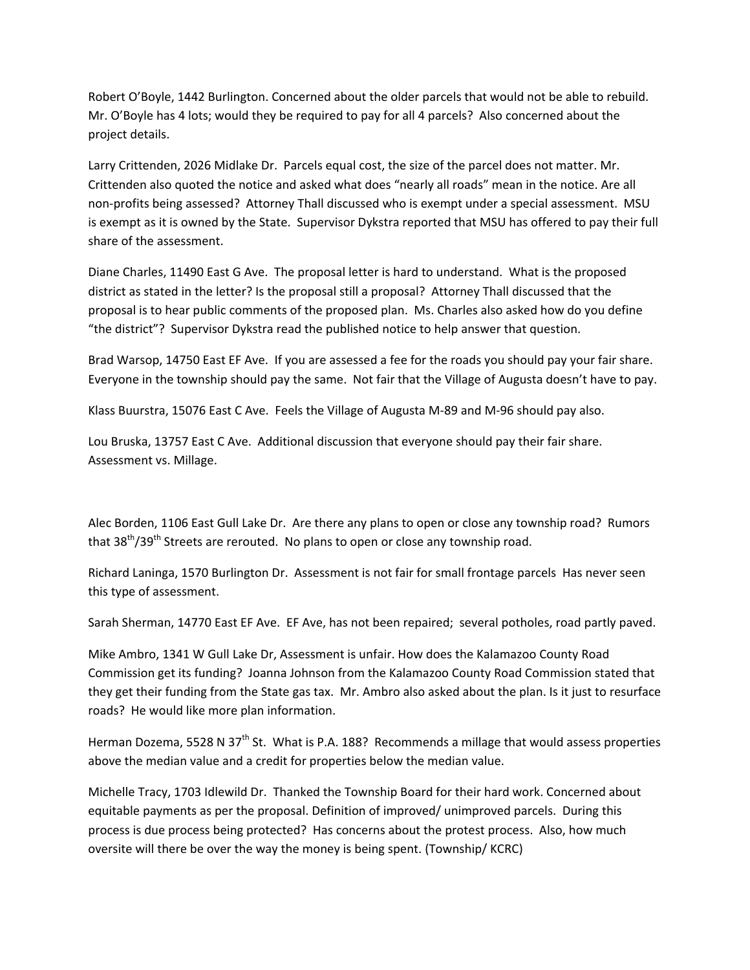Robert O'Boyle, 1442 Burlington. Concerned about the older parcels that would not be able to rebuild. Mr. O'Boyle has 4 lots; would they be required to pay for all 4 parcels? Also concerned about the project details.

Larry Crittenden, 2026 Midlake Dr. Parcels equal cost, the size of the parcel does not matter. Mr. Crittenden also quoted the notice and asked what does "nearly all roads" mean in the notice. Are all non‐profits being assessed? Attorney Thall discussed who is exempt under a special assessment. MSU is exempt as it is owned by the State. Supervisor Dykstra reported that MSU has offered to pay their full share of the assessment.

Diane Charles, 11490 East G Ave. The proposal letter is hard to understand. What is the proposed district as stated in the letter? Is the proposal still a proposal? Attorney Thall discussed that the proposal is to hear public comments of the proposed plan. Ms. Charles also asked how do you define "the district"? Supervisor Dykstra read the published notice to help answer that question.

Brad Warsop, 14750 East EF Ave. If you are assessed a fee for the roads you should pay your fair share. Everyone in the township should pay the same. Not fair that the Village of Augusta doesn't have to pay.

Klass Buurstra, 15076 East C Ave. Feels the Village of Augusta M‐89 and M‐96 should pay also.

Lou Bruska, 13757 East C Ave. Additional discussion that everyone should pay their fair share. Assessment vs. Millage.

Alec Borden, 1106 East Gull Lake Dr. Are there any plans to open or close any township road? Rumors that 38<sup>th</sup>/39<sup>th</sup> Streets are rerouted. No plans to open or close any township road.

Richard Laninga, 1570 Burlington Dr. Assessment is not fair for small frontage parcels Has never seen this type of assessment.

Sarah Sherman, 14770 East EF Ave. EF Ave, has not been repaired; several potholes, road partly paved.

Mike Ambro, 1341 W Gull Lake Dr, Assessment is unfair. How does the Kalamazoo County Road Commission get its funding? Joanna Johnson from the Kalamazoo County Road Commission stated that they get their funding from the State gas tax. Mr. Ambro also asked about the plan. Is it just to resurface roads? He would like more plan information.

Herman Dozema, 5528 N 37<sup>th</sup> St. What is P.A. 188? Recommends a millage that would assess properties above the median value and a credit for properties below the median value.

Michelle Tracy, 1703 Idlewild Dr. Thanked the Township Board for their hard work. Concerned about equitable payments as per the proposal. Definition of improved/ unimproved parcels. During this process is due process being protected? Has concerns about the protest process. Also, how much oversite will there be over the way the money is being spent. (Township/ KCRC)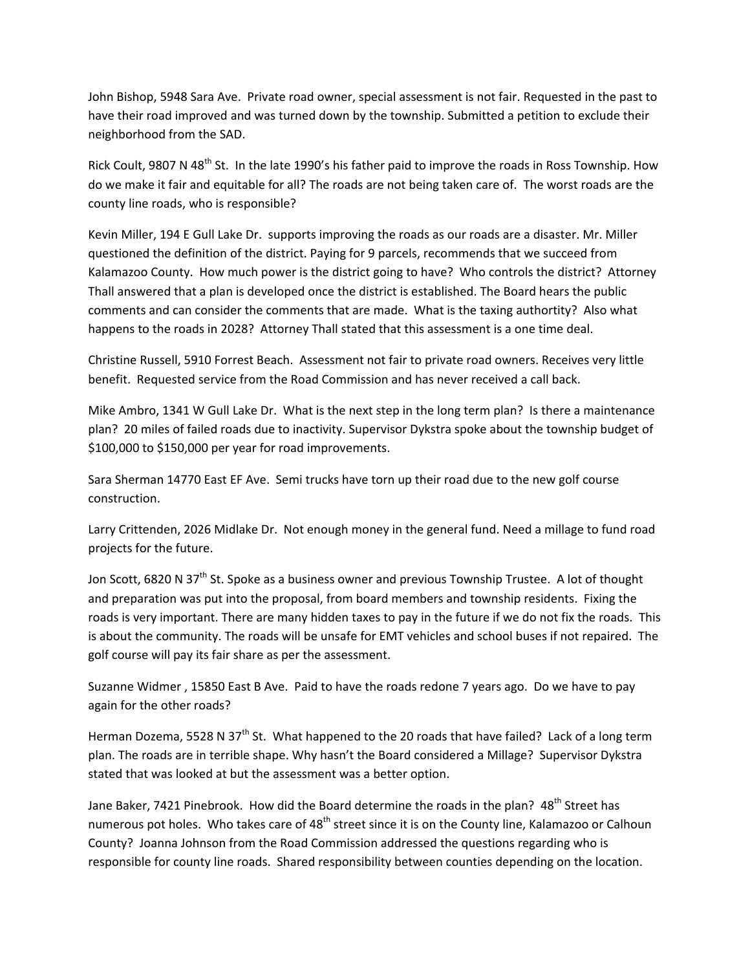John Bishop, 5948 Sara Ave. Private road owner, special assessment is not fair. Requested in the past to have their road improved and was turned down by the township. Submitted a petition to exclude their neighborhood from the SAD.

Rick Coult, 9807 N 48<sup>th</sup> St. In the late 1990's his father paid to improve the roads in Ross Township. How do we make it fair and equitable for all? The roads are not being taken care of. The worst roads are the county line roads, who is responsible?

Kevin Miller, 194 E Gull Lake Dr. supports improving the roads as our roads are a disaster. Mr. Miller questioned the definition of the district. Paying for 9 parcels, recommends that we succeed from Kalamazoo County. How much power is the district going to have? Who controls the district? Attorney Thall answered that a plan is developed once the district is established. The Board hears the public comments and can consider the comments that are made. What is the taxing authortity? Also what happens to the roads in 2028? Attorney Thall stated that this assessment is a one time deal.

Christine Russell, 5910 Forrest Beach. Assessment not fair to private road owners. Receives very little benefit. Requested service from the Road Commission and has never received a call back.

Mike Ambro, 1341 W Gull Lake Dr. What is the next step in the long term plan? Is there a maintenance plan? 20 miles of failed roads due to inactivity. Supervisor Dykstra spoke about the township budget of \$100,000 to \$150,000 per year for road improvements.

Sara Sherman 14770 East EF Ave. Semi trucks have torn up their road due to the new golf course construction.

Larry Crittenden, 2026 Midlake Dr. Not enough money in the general fund. Need a millage to fund road projects for the future.

Jon Scott, 6820 N 37<sup>th</sup> St. Spoke as a business owner and previous Township Trustee. A lot of thought and preparation was put into the proposal, from board members and township residents. Fixing the roads is very important. There are many hidden taxes to pay in the future if we do not fix the roads. This is about the community. The roads will be unsafe for EMT vehicles and school buses if not repaired. The golf course will pay its fair share as per the assessment.

Suzanne Widmer , 15850 East B Ave. Paid to have the roads redone 7 years ago. Do we have to pay again for the other roads?

Herman Dozema, 5528 N 37<sup>th</sup> St. What happened to the 20 roads that have failed? Lack of a long term plan. The roads are in terrible shape. Why hasn't the Board considered a Millage? Supervisor Dykstra stated that was looked at but the assessment was a better option.

Jane Baker, 7421 Pinebrook. How did the Board determine the roads in the plan? 48<sup>th</sup> Street has numerous pot holes. Who takes care of 48<sup>th</sup> street since it is on the County line, Kalamazoo or Calhoun County? Joanna Johnson from the Road Commission addressed the questions regarding who is responsible for county line roads. Shared responsibility between counties depending on the location.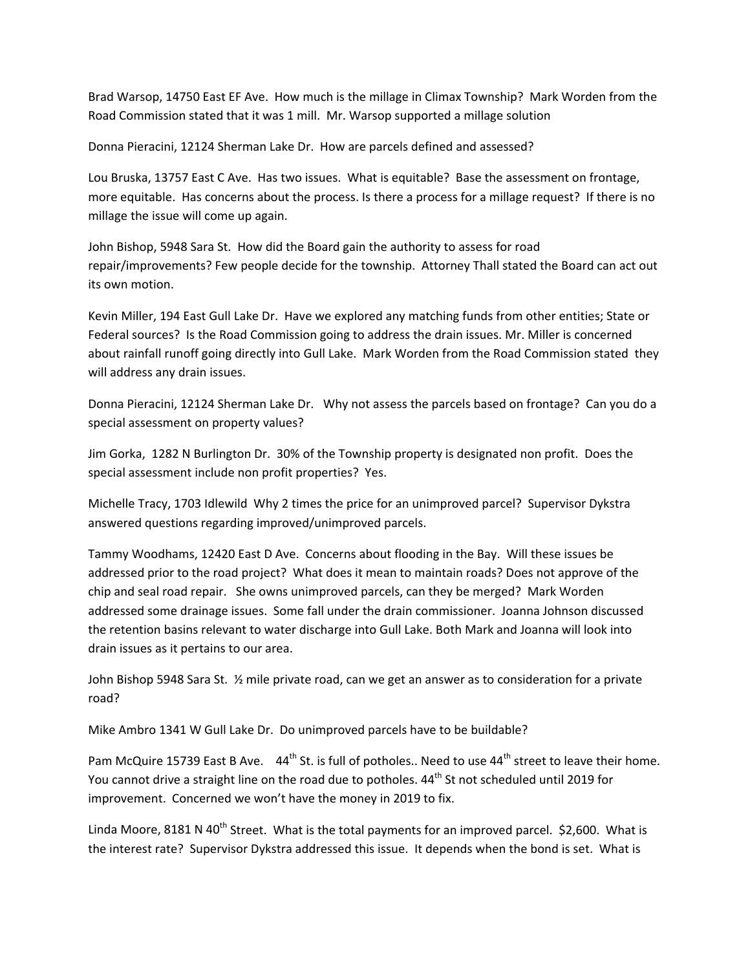Brad Warsop, 14750 East EF Ave. How much is the millage in Climax Township? Mark Worden from the Road Commission stated that it was 1 mill. Mr. Warsop supported a millage solution

Donna Pieracini, 12124 Sherman Lake Dr. How are parcels defined and assessed?

Lou Bruska, 13757 East C Ave. Has two issues. What is equitable? Base the assessment on frontage, more equitable. Has concerns about the process. Is there a process for a millage request? If there is no millage the issue will come up again.

John Bishop, 5948 Sara St. How did the Board gain the authority to assess for road repair/improvements? Few people decide for the township. Attorney Thall stated the Board can act out its own motion.

Kevin Miller, 194 East Gull Lake Dr. Have we explored any matching funds from other entities; State or Federal sources? Is the Road Commission going to address the drain issues. Mr. Miller is concerned about rainfall runoff going directly into Gull Lake. Mark Worden from the Road Commission stated they will address any drain issues.

Donna Pieracini, 12124 Sherman Lake Dr. Why not assess the parcels based on frontage? Can you do a special assessment on property values?

Jim Gorka, 1282 N Burlington Dr. 30% of the Township property is designated non profit. Does the special assessment include non profit properties? Yes.

Michelle Tracy, 1703 Idlewild Why 2 times the price for an unimproved parcel? Supervisor Dykstra answered questions regarding improved/unimproved parcels.

Tammy Woodhams, 12420 East D Ave. Concerns about flooding in the Bay. Will these issues be addressed prior to the road project? What does it mean to maintain roads? Does not approve of the chip and seal road repair. She owns unimproved parcels, can they be merged? Mark Worden addressed some drainage issues. Some fall under the drain commissioner. Joanna Johnson discussed the retention basins relevant to water discharge into Gull Lake. Both Mark and Joanna will look into drain issues as it pertains to our area.

John Bishop 5948 Sara St. ½ mile private road, can we get an answer as to consideration for a private road?

Mike Ambro 1341 W Gull Lake Dr. Do unimproved parcels have to be buildable?

Pam McQuire 15739 East B Ave. 44<sup>th</sup> St. is full of potholes.. Need to use 44<sup>th</sup> street to leave their home. You cannot drive a straight line on the road due to potholes. 44<sup>th</sup> St not scheduled until 2019 for improvement. Concerned we won't have the money in 2019 to fix.

Linda Moore, 8181 N 40<sup>th</sup> Street. What is the total payments for an improved parcel. \$2,600. What is the interest rate? Supervisor Dykstra addressed this issue. It depends when the bond is set. What is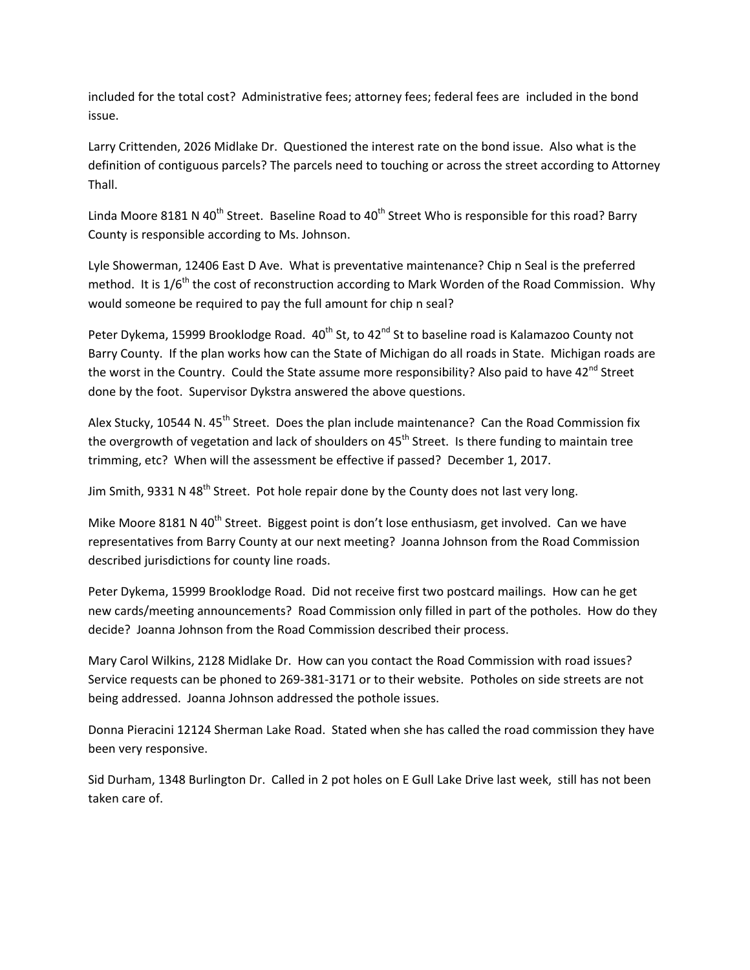included for the total cost? Administrative fees; attorney fees; federal fees are included in the bond issue.

Larry Crittenden, 2026 Midlake Dr. Questioned the interest rate on the bond issue. Also what is the definition of contiguous parcels? The parcels need to touching or across the street according to Attorney Thall.

Linda Moore 8181 N 40<sup>th</sup> Street. Baseline Road to 40<sup>th</sup> Street Who is responsible for this road? Barry County is responsible according to Ms. Johnson.

Lyle Showerman, 12406 East D Ave. What is preventative maintenance? Chip n Seal is the preferred method. It is 1/6<sup>th</sup> the cost of reconstruction according to Mark Worden of the Road Commission. Why would someone be required to pay the full amount for chip n seal?

Peter Dykema, 15999 Brooklodge Road. 40<sup>th</sup> St, to 42<sup>nd</sup> St to baseline road is Kalamazoo County not Barry County. If the plan works how can the State of Michigan do all roads in State. Michigan roads are the worst in the Country. Could the State assume more responsibility? Also paid to have 42<sup>nd</sup> Street done by the foot. Supervisor Dykstra answered the above questions.

Alex Stucky, 10544 N.  $45^{th}$  Street. Does the plan include maintenance? Can the Road Commission fix the overgrowth of vegetation and lack of shoulders on  $45<sup>th</sup>$  Street. Is there funding to maintain tree trimming, etc? When will the assessment be effective if passed? December 1, 2017.

Jim Smith, 9331 N 48<sup>th</sup> Street. Pot hole repair done by the County does not last very long.

Mike Moore 8181 N 40<sup>th</sup> Street. Biggest point is don't lose enthusiasm, get involved. Can we have representatives from Barry County at our next meeting? Joanna Johnson from the Road Commission described jurisdictions for county line roads.

Peter Dykema, 15999 Brooklodge Road. Did not receive first two postcard mailings. How can he get new cards/meeting announcements? Road Commission only filled in part of the potholes. How do they decide? Joanna Johnson from the Road Commission described their process.

Mary Carol Wilkins, 2128 Midlake Dr. How can you contact the Road Commission with road issues? Service requests can be phoned to 269‐381‐3171 or to their website. Potholes on side streets are not being addressed. Joanna Johnson addressed the pothole issues.

Donna Pieracini 12124 Sherman Lake Road. Stated when she has called the road commission they have been very responsive.

Sid Durham, 1348 Burlington Dr. Called in 2 pot holes on E Gull Lake Drive last week, still has not been taken care of.